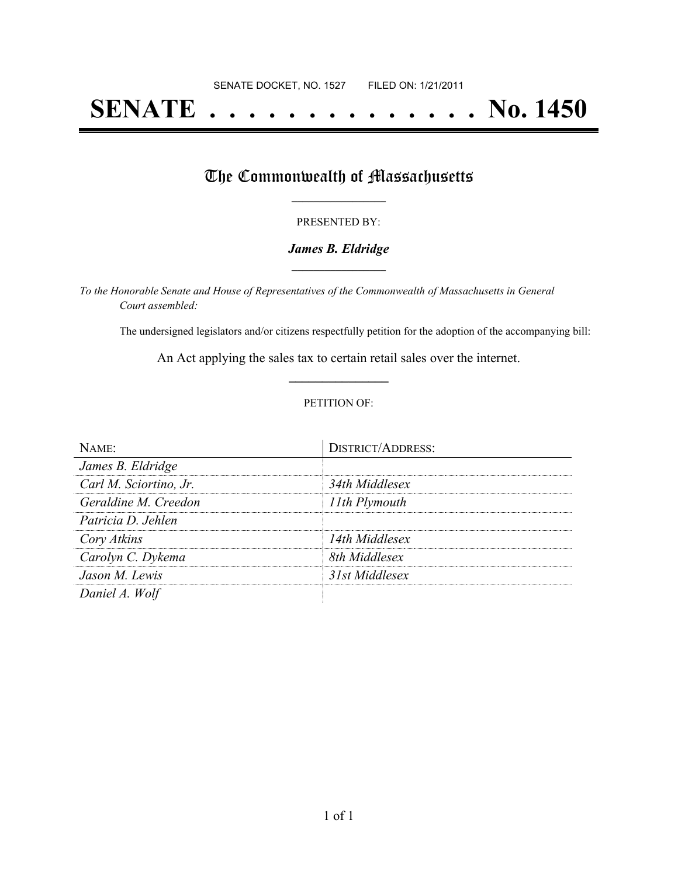# **SENATE . . . . . . . . . . . . . . No. 1450**

### The Commonwealth of Massachusetts

#### PRESENTED BY:

#### *James B. Eldridge* **\_\_\_\_\_\_\_\_\_\_\_\_\_\_\_\_\_**

*To the Honorable Senate and House of Representatives of the Commonwealth of Massachusetts in General Court assembled:*

The undersigned legislators and/or citizens respectfully petition for the adoption of the accompanying bill:

An Act applying the sales tax to certain retail sales over the internet. **\_\_\_\_\_\_\_\_\_\_\_\_\_\_\_**

#### PETITION OF:

| NAMF                   | <b>DISTRICT/ADDRESS:</b> |
|------------------------|--------------------------|
| James B. Eldridge      |                          |
| Carl M. Sciortino, Jr. | 34th Middlesex           |
| Geraldine M. Creedon   | 11th Plymouth            |
| Patricia D. Jehlen     |                          |
| Cory Atkins            | 14th Middlesex           |
| Carolyn C. Dykema      | 8th Middlesex            |
| Jason M. Lewis         | 31st Middlesex           |
| Daniel A. Wolf         |                          |